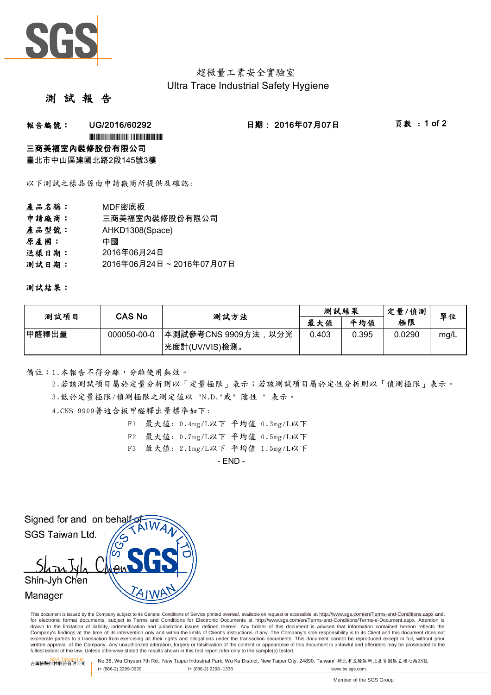

# 超微量工業安全實驗室 Ultra Trace Industrial Safety Hygiene

## 測 試 報

### **報告編號: UG/2016/60292 日期:2016年07月07日 頁數:1 of 2**

\*UG/2016/60292\*UG/2016/60292\*UG/2016/60292\*UG/2016

#### 三商美福室內裝修股份有限公司

臺北市中山區建國北路2段145號3樓

以下測試之樣品係由申請廠商所提供及確認:

- 產品名稱: MDF密底板
- 申請廠商: 三商美福室內裝修股份有限公司
- 產品型號: AHKD1308(Space)
- 原產國: 中國
- 送樣日期: 2016年06月24日
- 測試日期: 2016年06月24日 ~ 2016年07月07日

測試結果:

| 測試項目  | CAS No      | 测試方法                | 測試結果  |       | 定量/偵測  | 單位   |
|-------|-------------|---------------------|-------|-------|--------|------|
|       |             |                     | 最大值   | 平均值   | 極限     |      |
| 甲醛釋出量 | 000050-00-0 | 本測試參考CNS 9909方法,以分光 | 0.403 | 0.395 | 0.0290 | mg/L |
|       |             | 光度計(UV/VIS)檢測。      |       |       |        |      |

備註:1.本報告不得分離,分離使用無效。

3.低於定量極限/偵測極限之測定值以 "N.D."或" 陰性 " 表示。 2.若該測試項目屬於定量分析則以「定量極限」表示;若該測試項目屬於定性分析則以「偵測極限」表示。

4.CNS 9909普通合板甲醛釋出量標準如下:

- F1 最大值: 0.4mg/L以下 平均值 0.3mg/L以下
- F2 最大值: 0.7mg/L以下 平均值 0.5mg/L以下
- F3 最大值: 2.1mg/L以下 平均值 1.5mg/L以下

- END -



This document is issued by the Company subject to its General Conditions of Service printed overleaf, available on request or accessible at http://www.sgs.com/en/Terms-and-Conditions.aspx and, for electronic format documents, subject to Terms and Conditions for Electronic Documents at http://www.sgs.com/en/Terms-and-Conditions/Terms-e-Document.aspx. Attention is drawn to the limitation of liability, indemnification and jurisdiction issues defined therein. Any holder of this document is advised that information contained hereon reflects the<br>Company's findings at the time of its int exonerate parties to a transaction from exercising all their rights and obligations under the transaction documents. This document cannot be reproduced except in full, without prior written approval of the Company. Any unauthorized alteration, forgery or falsification of the content or appearance of this document is unlawful and offenders may be prosecuted to the<br>fullest extent of the law. Unless othe

SGS Taiwan Ltd. 台灣檢驗科技股份有限公司 No.38, Wu Chyuan 7th Rd., New Taipei Industrial Park, Wu Ku District, New Taipei City, 24890, Taiwan/ 新北市五股區新北產業園區五權七路38號 t+ (886-2) 2299-3939 f+ (886-2) 2298 -1338